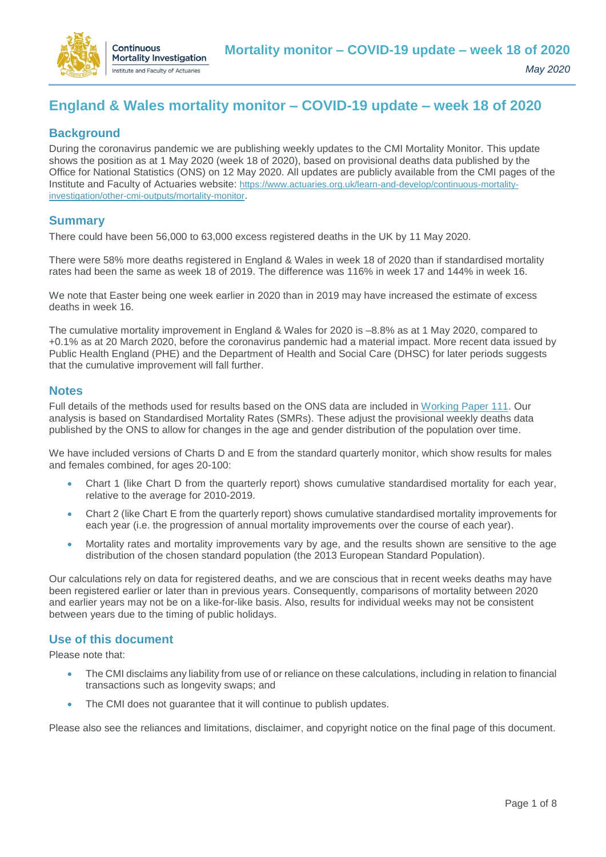

# **England & Wales mortality monitor – COVID-19 update – week 18 of 2020**

# **Background**

During the coronavirus pandemic we are publishing weekly updates to the CMI Mortality Monitor. This update shows the position as at 1 May 2020 (week 18 of 2020), based on provisional deaths data published by the Office for National Statistics (ONS) on 12 May 2020. All updates are publicly available from the CMI pages of the Institute and Faculty of Actuaries website: [https://www.actuaries.org.uk/learn-and-develop/continuous-mortality](https://www.actuaries.org.uk/learn-and-develop/continuous-mortality-investigation/other-cmi-outputs/mortality-monitor)[investigation/other-cmi-outputs/mortality-monitor](https://www.actuaries.org.uk/learn-and-develop/continuous-mortality-investigation/other-cmi-outputs/mortality-monitor).

# **Summary**

There could have been 56,000 to 63,000 excess registered deaths in the UK by 11 May 2020.

There were 58% more deaths registered in England & Wales in week 18 of 2020 than if standardised mortality rates had been the same as week 18 of 2019. The difference was 116% in week 17 and 144% in week 16.

We note that Easter being one week earlier in 2020 than in 2019 may have increased the estimate of excess deaths in week 16.

The cumulative mortality improvement in England & Wales for 2020 is –8.8% as at 1 May 2020, compared to +0.1% as at 20 March 2020, before the coronavirus pandemic had a material impact. More recent data issued by Public Health England (PHE) and the Department of Health and Social Care (DHSC) for later periods suggests that the cumulative improvement will fall further.

#### **Notes**

Full details of the methods used for results based on the ONS data are included in [Working Paper 111.](https://www.actuaries.org.uk/learn-and-develop/continuous-mortality-investigation/cmi-working-papers/mortality-projections/cmi-working-paper-111) Our analysis is based on Standardised Mortality Rates (SMRs). These adjust the provisional weekly deaths data published by the ONS to allow for changes in the age and gender distribution of the population over time.

We have included versions of Charts D and E from the standard quarterly monitor, which show results for males and females combined, for ages 20-100:

- Chart 1 (like Chart D from the quarterly report) shows cumulative standardised mortality for each year, relative to the average for 2010-2019.
- Chart 2 (like Chart E from the quarterly report) shows cumulative standardised mortality improvements for each year (i.e. the progression of annual mortality improvements over the course of each year).
- Mortality rates and mortality improvements vary by age, and the results shown are sensitive to the age distribution of the chosen standard population (the 2013 European Standard Population).

Our calculations rely on data for registered deaths, and we are conscious that in recent weeks deaths may have been registered earlier or later than in previous years. Consequently, comparisons of mortality between 2020 and earlier years may not be on a like-for-like basis. Also, results for individual weeks may not be consistent between years due to the timing of public holidays.

# **Use of this document**

Please note that:

- The CMI disclaims any liability from use of or reliance on these calculations, including in relation to financial transactions such as longevity swaps; and
- The CMI does not guarantee that it will continue to publish updates.

Please also see the reliances and limitations, disclaimer, and copyright notice on the final page of this document.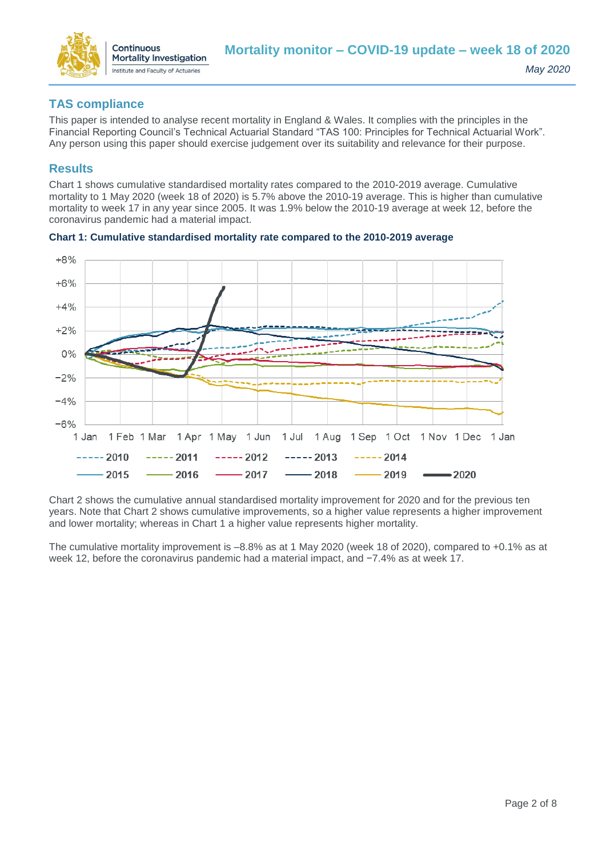

# **TAS compliance**

This paper is intended to analyse recent mortality in England & Wales. It complies with the principles in the Financial Reporting Council's Technical Actuarial Standard "TAS 100: Principles for Technical Actuarial Work". Any person using this paper should exercise judgement over its suitability and relevance for their purpose.

# **Results**

Chart 1 shows cumulative standardised mortality rates compared to the 2010-2019 average. Cumulative mortality to 1 May 2020 (week 18 of 2020) is 5.7% above the 2010-19 average. This is higher than cumulative mortality to week 17 in any year since 2005. It was 1.9% below the 2010-19 average at week 12, before the coronavirus pandemic had a material impact.



**Chart 1: Cumulative standardised mortality rate compared to the 2010-2019 average**

Chart 2 shows the cumulative annual standardised mortality improvement for 2020 and for the previous ten years. Note that Chart 2 shows cumulative improvements, so a higher value represents a higher improvement and lower mortality; whereas in Chart 1 a higher value represents higher mortality.

The cumulative mortality improvement is –8.8% as at 1 May 2020 (week 18 of 2020), compared to +0.1% as at week 12, before the coronavirus pandemic had a material impact, and −7.4% as at week 17.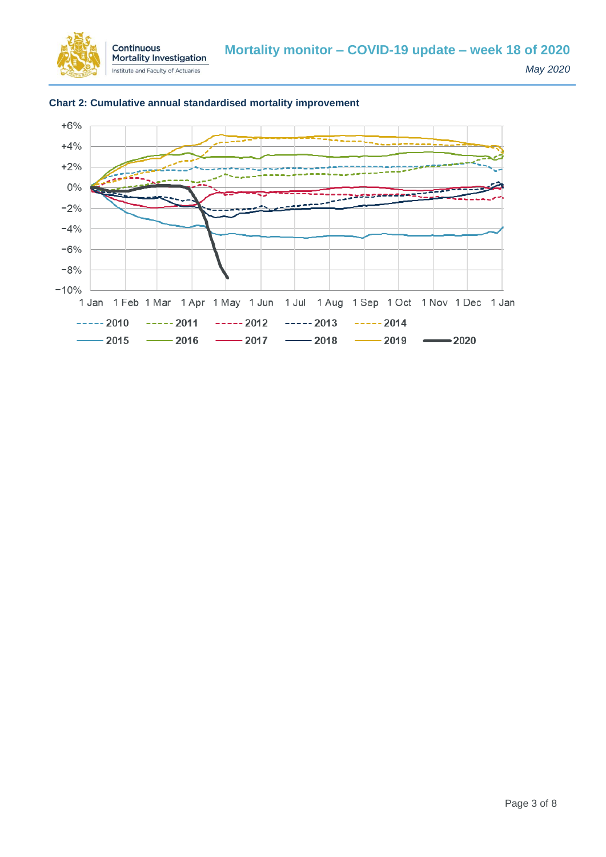



#### **Chart 2: Cumulative annual standardised mortality improvement**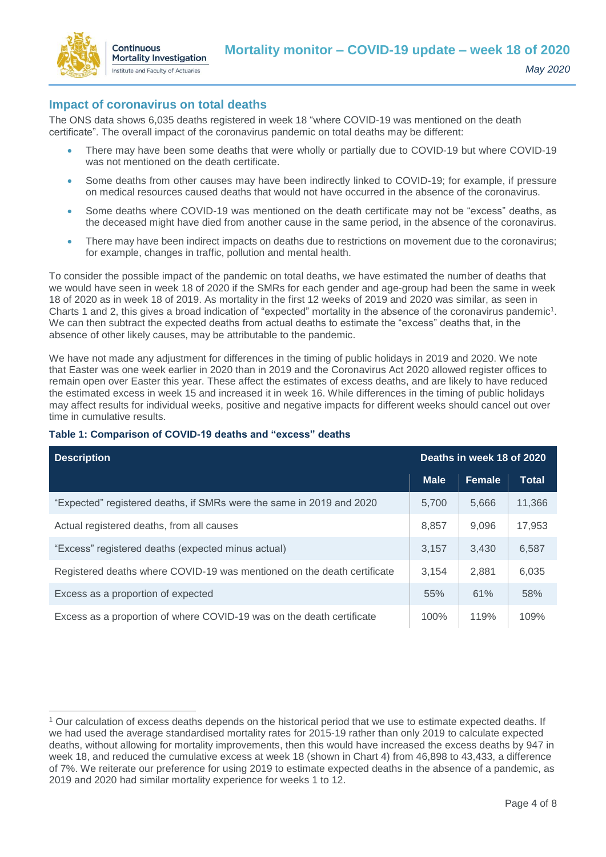

 $\overline{a}$ 

### **Impact of coronavirus on total deaths**

The ONS data shows 6,035 deaths registered in week 18 "where COVID-19 was mentioned on the death certificate". The overall impact of the coronavirus pandemic on total deaths may be different:

- There may have been some deaths that were wholly or partially due to COVID-19 but where COVID-19 was not mentioned on the death certificate.
- Some deaths from other causes may have been indirectly linked to COVID-19; for example, if pressure on medical resources caused deaths that would not have occurred in the absence of the coronavirus.
- Some deaths where COVID-19 was mentioned on the death certificate may not be "excess" deaths, as the deceased might have died from another cause in the same period, in the absence of the coronavirus.
- There may have been indirect impacts on deaths due to restrictions on movement due to the coronavirus; for example, changes in traffic, pollution and mental health.

To consider the possible impact of the pandemic on total deaths, we have estimated the number of deaths that we would have seen in week 18 of 2020 if the SMRs for each gender and age-group had been the same in week 18 of 2020 as in week 18 of 2019. As mortality in the first 12 weeks of 2019 and 2020 was similar, as seen in Charts 1 and 2, this gives a broad indication of "expected" mortality in the absence of the coronavirus pandemic<sup>1</sup>. We can then subtract the expected deaths from actual deaths to estimate the "excess" deaths that, in the absence of other likely causes, may be attributable to the pandemic.

We have not made any adjustment for differences in the timing of public holidays in 2019 and 2020. We note that Easter was one week earlier in 2020 than in 2019 and the Coronavirus Act 2020 allowed register offices to remain open over Easter this year. These affect the estimates of excess deaths, and are likely to have reduced the estimated excess in week 15 and increased it in week 16. While differences in the timing of public holidays may affect results for individual weeks, positive and negative impacts for different weeks should cancel out over time in cumulative results.

| Deaths in week 18 of 2020<br><b>Description</b>                         |             |               |              |  |
|-------------------------------------------------------------------------|-------------|---------------|--------------|--|
|                                                                         | <b>Male</b> | <b>Female</b> | <b>Total</b> |  |
| "Expected" registered deaths, if SMRs were the same in 2019 and 2020    | 5,700       | 5,666         | 11,366       |  |
| Actual registered deaths, from all causes                               | 8,857       | 9,096         | 17,953       |  |
| "Excess" registered deaths (expected minus actual)                      | 3,157       | 3,430         | 6,587        |  |
| Registered deaths where COVID-19 was mentioned on the death certificate | 3.154       | 2,881         | 6,035        |  |
| Excess as a proportion of expected                                      | 55%         | 61%           | 58%          |  |
| Excess as a proportion of where COVID-19 was on the death certificate   | 100%        | 119%          | 109%         |  |

#### **Table 1: Comparison of COVID-19 deaths and "excess" deaths**

<sup>1</sup> Our calculation of excess deaths depends on the historical period that we use to estimate expected deaths. If we had used the average standardised mortality rates for 2015-19 rather than only 2019 to calculate expected deaths, without allowing for mortality improvements, then this would have increased the excess deaths by 947 in week 18, and reduced the cumulative excess at week 18 (shown in Chart 4) from 46,898 to 43,433, a difference of 7%. We reiterate our preference for using 2019 to estimate expected deaths in the absence of a pandemic, as 2019 and 2020 had similar mortality experience for weeks 1 to 12.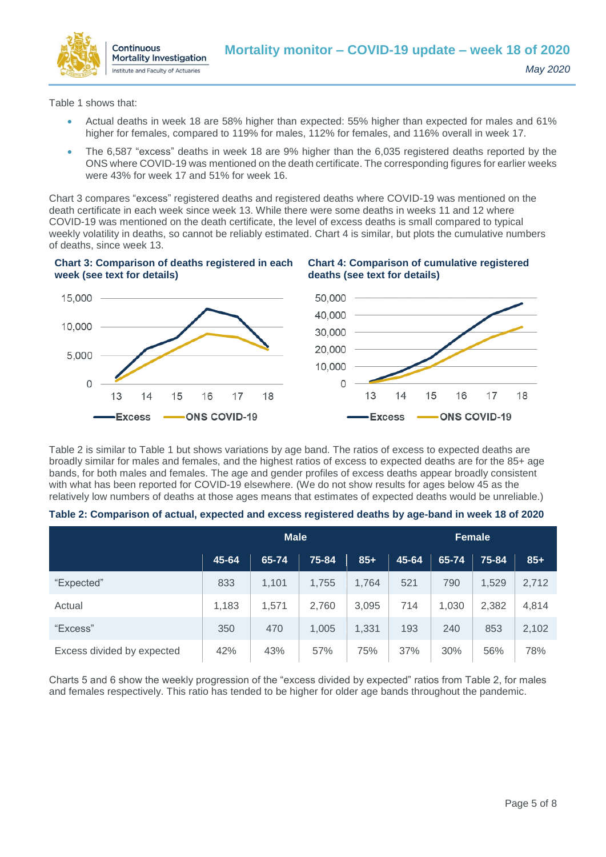

Table 1 shows that:

- Actual deaths in week 18 are 58% higher than expected: 55% higher than expected for males and 61% higher for females, compared to 119% for males, 112% for females, and 116% overall in week 17.
- The 6,587 "excess" deaths in week 18 are 9% higher than the 6,035 registered deaths reported by the ONS where COVID-19 was mentioned on the death certificate. The corresponding figures for earlier weeks were 43% for week 17 and 51% for week 16.

Chart 3 compares "excess" registered deaths and registered deaths where COVID-19 was mentioned on the death certificate in each week since week 13. While there were some deaths in weeks 11 and 12 where COVID-19 was mentioned on the death certificate, the level of excess deaths is small compared to typical weekly volatility in deaths, so cannot be reliably estimated. Chart 4 is similar, but plots the cumulative numbers of deaths, since week 13.

#### **Chart 3: Comparison of deaths registered in each week (see text for details)**





Table 2 is similar to Table 1 but shows variations by age band. The ratios of excess to expected deaths are broadly similar for males and females, and the highest ratios of excess to expected deaths are for the 85+ age bands, for both males and females. The age and gender profiles of excess deaths appear broadly consistent with what has been reported for COVID-19 elsewhere. (We do not show results for ages below 45 as the relatively low numbers of deaths at those ages means that estimates of expected deaths would be unreliable.)

|  |  | Table 2: Comparison of actual, expected and excess registered deaths by age-band in week 18 of 2020 |
|--|--|-----------------------------------------------------------------------------------------------------|
|  |  |                                                                                                     |

|                            | <b>Male</b> |       |       |       | <b>Female</b> |       |       |       |
|----------------------------|-------------|-------|-------|-------|---------------|-------|-------|-------|
|                            |             |       |       |       |               |       |       |       |
|                            | 45-64       | 65-74 | 75-84 | $85+$ | 45-64         | 65-74 | 75-84 | $85+$ |
| "Expected"                 | 833         | 1,101 | 1,755 | 1,764 | 521           | 790   | 1,529 | 2,712 |
| Actual                     | 1,183       | 1,571 | 2,760 | 3,095 | 714           | 1,030 | 2,382 | 4,814 |
| "Excess"                   | 350         | 470   | 1,005 | 1,331 | 193           | 240   | 853   | 2,102 |
| Excess divided by expected | 42%         | 43%   | 57%   | 75%   | 37%           | 30%   | 56%   | 78%   |

Charts 5 and 6 show the weekly progression of the "excess divided by expected" ratios from Table 2, for males and females respectively. This ratio has tended to be higher for older age bands throughout the pandemic.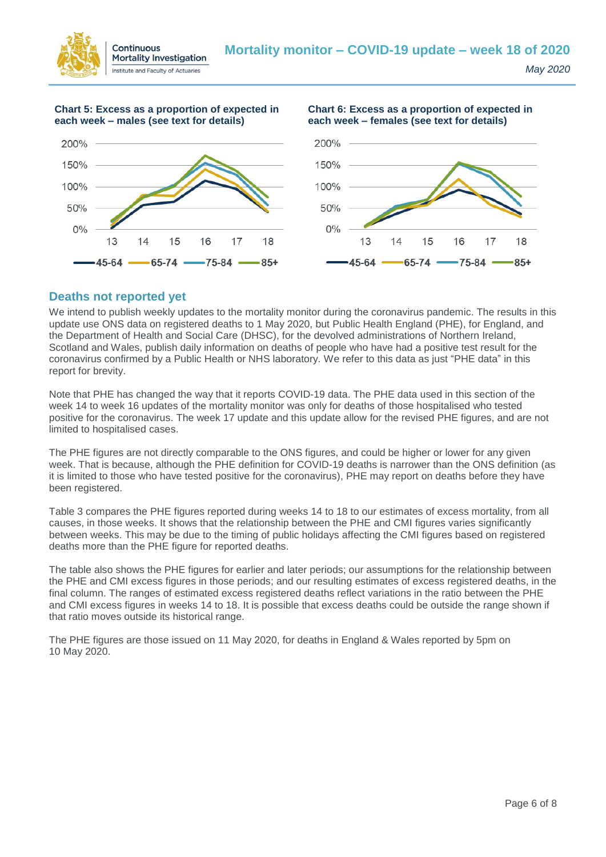

**Chart 5: Excess as a proportion of expected in each week – males (see text for details)**





#### **Deaths not reported yet**

We intend to publish weekly updates to the mortality monitor during the coronavirus pandemic. The results in this update use ONS data on registered deaths to 1 May 2020, but Public Health England (PHE), for England, and the Department of Health and Social Care (DHSC), for the devolved administrations of Northern Ireland, Scotland and Wales, publish daily information on deaths of people who have had a positive test result for the coronavirus confirmed by a Public Health or NHS laboratory. We refer to this data as just "PHE data" in this report for brevity.

Note that PHE has changed the way that it reports COVID-19 data. The PHE data used in this section of the week 14 to week 16 updates of the mortality monitor was only for deaths of those hospitalised who tested positive for the coronavirus. The week 17 update and this update allow for the revised PHE figures, and are not limited to hospitalised cases.

The PHE figures are not directly comparable to the ONS figures, and could be higher or lower for any given week. That is because, although the PHE definition for COVID-19 deaths is narrower than the ONS definition (as it is limited to those who have tested positive for the coronavirus), PHE may report on deaths before they have been registered.

Table 3 compares the PHE figures reported during weeks 14 to 18 to our estimates of excess mortality, from all causes, in those weeks. It shows that the relationship between the PHE and CMI figures varies significantly between weeks. This may be due to the timing of public holidays affecting the CMI figures based on registered deaths more than the PHE figure for reported deaths.

The table also shows the PHE figures for earlier and later periods; our assumptions for the relationship between the PHE and CMI excess figures in those periods; and our resulting estimates of excess registered deaths, in the final column. The ranges of estimated excess registered deaths reflect variations in the ratio between the PHE and CMI excess figures in weeks 14 to 18. It is possible that excess deaths could be outside the range shown if that ratio moves outside its historical range.

The PHE figures are those issued on 11 May 2020, for deaths in England & Wales reported by 5pm on 10 May 2020.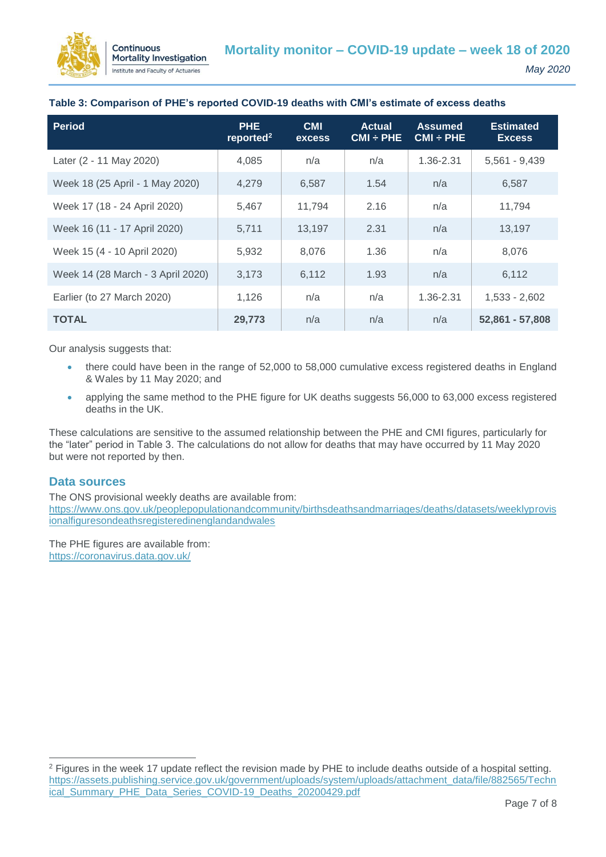

| <b>Period</b>                     | <b>PHE</b><br>reported <sup>2</sup> | <b>CMI</b><br><b>excess</b> | <b>Actual</b><br>$CMI \div PHE$ | <b>Assumed</b><br>$CMI \div PHE$ | <b>Estimated</b><br><b>Excess</b> |
|-----------------------------------|-------------------------------------|-----------------------------|---------------------------------|----------------------------------|-----------------------------------|
| Later (2 - 11 May 2020)           | 4,085                               | n/a                         | n/a                             | 1.36-2.31                        | $5,561 - 9,439$                   |
| Week 18 (25 April - 1 May 2020)   | 4,279                               | 6,587                       | 1.54                            | n/a                              | 6,587                             |
| Week 17 (18 - 24 April 2020)      | 5.467                               | 11,794                      | 2.16                            | n/a                              | 11,794                            |
| Week 16 (11 - 17 April 2020)      | 5,711                               | 13,197                      | 2.31                            | n/a                              | 13,197                            |
| Week 15 (4 - 10 April 2020)       | 5.932                               | 8,076                       | 1.36                            | n/a                              | 8,076                             |
| Week 14 (28 March - 3 April 2020) | 3,173                               | 6,112                       | 1.93                            | n/a                              | 6,112                             |
| Earlier (to 27 March 2020)        | 1,126                               | n/a                         | n/a                             | 1.36-2.31                        | $1,533 - 2,602$                   |
| <b>TOTAL</b>                      | 29,773                              | n/a                         | n/a                             | n/a                              | 52,861 - 57,808                   |

#### **Table 3: Comparison of PHE's reported COVID-19 deaths with CMI's estimate of excess deaths**

Our analysis suggests that:

- there could have been in the range of 52,000 to 58,000 cumulative excess registered deaths in England & Wales by 11 May 2020; and
- applying the same method to the PHE figure for UK deaths suggests 56,000 to 63,000 excess registered deaths in the UK.

These calculations are sensitive to the assumed relationship between the PHE and CMI figures, particularly for the "later" period in Table 3. The calculations do not allow for deaths that may have occurred by 11 May 2020 but were not reported by then.

#### **Data sources**

 $\overline{a}$ 

The ONS provisional weekly deaths are available from: [https://www.ons.gov.uk/peoplepopulationandcommunity/birthsdeathsandmarriages/deaths/datasets/weeklyprovis](https://www.ons.gov.uk/peoplepopulationandcommunity/birthsdeathsandmarriages/deaths/datasets/weeklyprovisionalfiguresondeathsregisteredinenglandandwales) [ionalfiguresondeathsregisteredinenglandandwales](https://www.ons.gov.uk/peoplepopulationandcommunity/birthsdeathsandmarriages/deaths/datasets/weeklyprovisionalfiguresondeathsregisteredinenglandandwales)

The PHE figures are available from: <https://coronavirus.data.gov.uk/>

<sup>&</sup>lt;sup>2</sup> Figures in the week 17 update reflect the revision made by PHE to include deaths outside of a hospital setting. [https://assets.publishing.service.gov.uk/government/uploads/system/uploads/attachment\\_data/file/882565/Techn](https://assets.publishing.service.gov.uk/government/uploads/system/uploads/attachment_data/file/882565/Technical_Summary_PHE_Data_Series_COVID-19_Deaths_20200429.pdf) ical Summary PHE\_Data\_Series\_COVID-19\_Deaths\_20200429.pdf